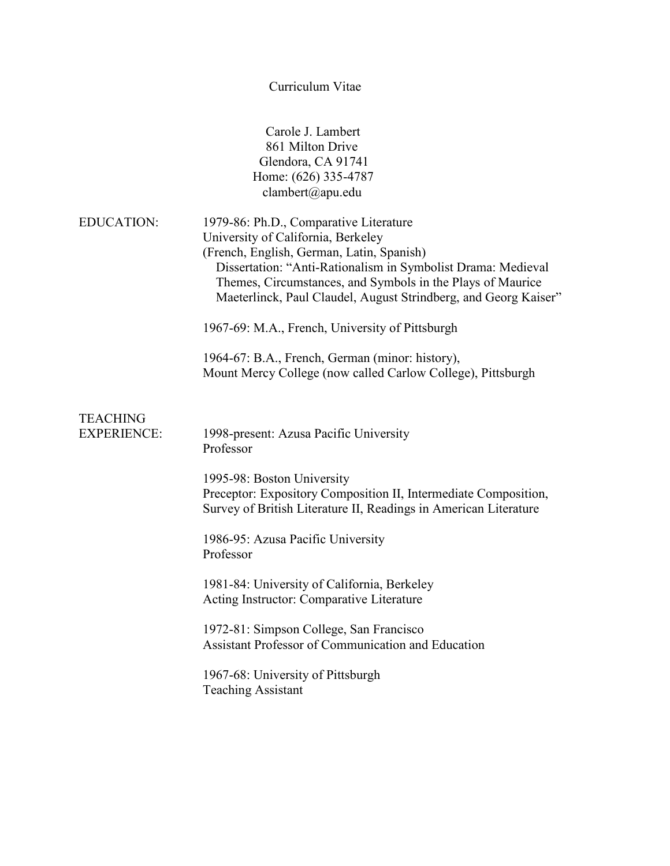Curriculum Vitae

|                                       | Carole J. Lambert<br>861 Milton Drive<br>Glendora, CA 91741<br>Home: (626) 335-4787<br>clambert@apu.edu                                                                                                                                                                                                                    |
|---------------------------------------|----------------------------------------------------------------------------------------------------------------------------------------------------------------------------------------------------------------------------------------------------------------------------------------------------------------------------|
| <b>EDUCATION:</b>                     | 1979-86: Ph.D., Comparative Literature<br>University of California, Berkeley<br>(French, English, German, Latin, Spanish)<br>Dissertation: "Anti-Rationalism in Symbolist Drama: Medieval<br>Themes, Circumstances, and Symbols in the Plays of Maurice<br>Maeterlinck, Paul Claudel, August Strindberg, and Georg Kaiser" |
|                                       | 1967-69: M.A., French, University of Pittsburgh                                                                                                                                                                                                                                                                            |
|                                       | 1964-67: B.A., French, German (minor: history),<br>Mount Mercy College (now called Carlow College), Pittsburgh                                                                                                                                                                                                             |
| <b>TEACHING</b><br><b>EXPERIENCE:</b> | 1998-present: Azusa Pacific University<br>Professor                                                                                                                                                                                                                                                                        |
|                                       | 1995-98: Boston University<br>Preceptor: Expository Composition II, Intermediate Composition,<br>Survey of British Literature II, Readings in American Literature                                                                                                                                                          |
|                                       | 1986-95: Azusa Pacific University<br>Professor                                                                                                                                                                                                                                                                             |
|                                       | 1981-84: University of California, Berkeley<br>Acting Instructor: Comparative Literature                                                                                                                                                                                                                                   |
|                                       | 1972-81: Simpson College, San Francisco<br><b>Assistant Professor of Communication and Education</b>                                                                                                                                                                                                                       |
|                                       | 1967-68: University of Pittsburgh<br><b>Teaching Assistant</b>                                                                                                                                                                                                                                                             |
|                                       |                                                                                                                                                                                                                                                                                                                            |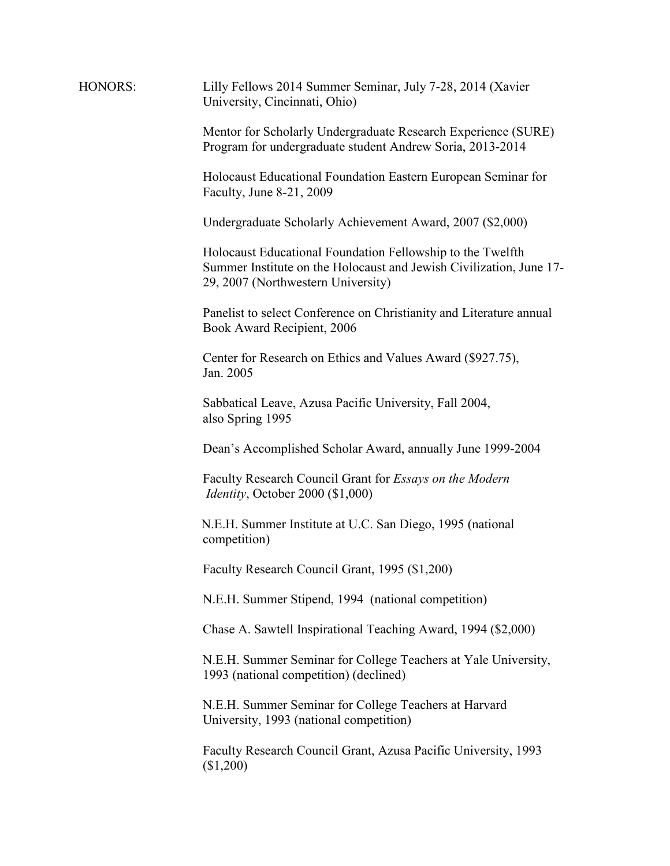| HONORS: | Lilly Fellows 2014 Summer Seminar, July 7-28, 2014 (Xavier<br>University, Cincinnati, Ohio)                                                                             |
|---------|-------------------------------------------------------------------------------------------------------------------------------------------------------------------------|
|         | Mentor for Scholarly Undergraduate Research Experience (SURE)<br>Program for undergraduate student Andrew Soria, 2013-2014                                              |
|         | Holocaust Educational Foundation Eastern European Seminar for<br>Faculty, June 8-21, 2009                                                                               |
|         | Undergraduate Scholarly Achievement Award, 2007 (\$2,000)                                                                                                               |
|         | Holocaust Educational Foundation Fellowship to the Twelfth<br>Summer Institute on the Holocaust and Jewish Civilization, June 17-<br>29, 2007 (Northwestern University) |
|         | Panelist to select Conference on Christianity and Literature annual<br>Book Award Recipient, 2006                                                                       |
|         | Center for Research on Ethics and Values Award (\$927.75),<br>Jan. 2005                                                                                                 |
|         | Sabbatical Leave, Azusa Pacific University, Fall 2004,<br>also Spring 1995                                                                                              |
|         | Dean's Accomplished Scholar Award, annually June 1999-2004                                                                                                              |
|         | Faculty Research Council Grant for Essays on the Modern<br><i>Identity</i> , October 2000 (\$1,000)                                                                     |
|         | N.E.H. Summer Institute at U.C. San Diego, 1995 (national<br>competition)                                                                                               |
|         | Faculty Research Council Grant, 1995 (\$1,200)                                                                                                                          |
|         | N.E.H. Summer Stipend, 1994 (national competition)                                                                                                                      |
|         | Chase A. Sawtell Inspirational Teaching Award, 1994 (\$2,000)                                                                                                           |
|         | N.E.H. Summer Seminar for College Teachers at Yale University,<br>1993 (national competition) (declined)                                                                |
|         | N.E.H. Summer Seminar for College Teachers at Harvard<br>University, 1993 (national competition)                                                                        |
|         |                                                                                                                                                                         |

Faculty Research Council Grant, Azusa Pacific University, 1993 (\$1,200)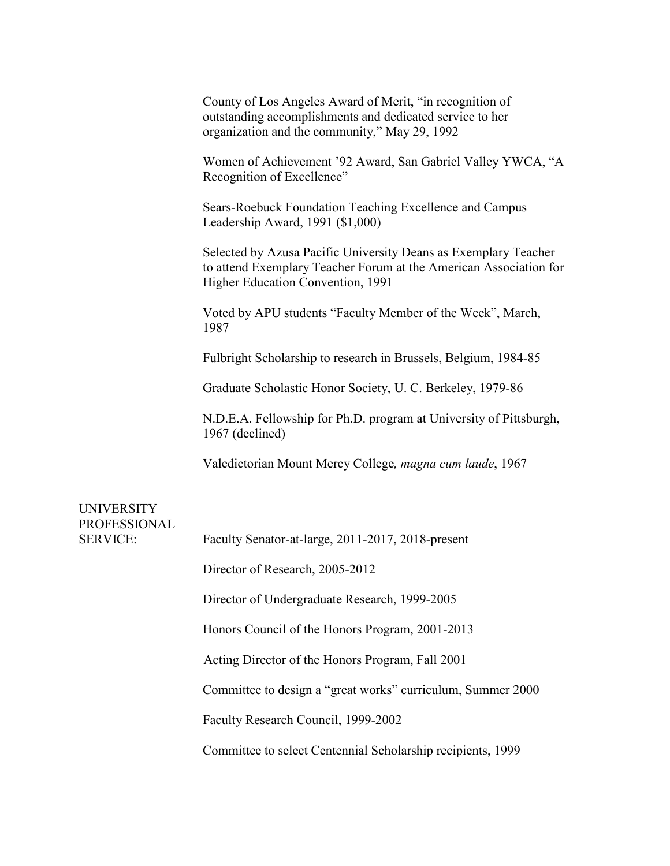County of Los Angeles Award of Merit, "in recognition of outstanding accomplishments and dedicated service to her organization and the community," May 29, 1992

Women of Achievement '92 Award, San Gabriel Valley YWCA, "A Recognition of Excellence"

Sears-Roebuck Foundation Teaching Excellence and Campus Leadership Award, 1991 (\$1,000)

Selected by Azusa Pacific University Deans as Exemplary Teacher to attend Exemplary Teacher Forum at the American Association for Higher Education Convention, 1991

Voted by APU students "Faculty Member of the Week", March, 1987

Fulbright Scholarship to research in Brussels, Belgium, 1984-85

Graduate Scholastic Honor Society, U. C. Berkeley, 1979-86

N.D.E.A. Fellowship for Ph.D. program at University of Pittsburgh, 1967 (declined)

Valedictorian Mount Mercy College*, magna cum laude*, 1967

| <b>UNIVERSITY</b><br><b>PROFESSIONAL</b><br><b>SERVICE:</b> |                                                             |
|-------------------------------------------------------------|-------------------------------------------------------------|
|                                                             | Faculty Senator-at-large, 2011-2017, 2018-present           |
|                                                             | Director of Research, 2005-2012                             |
|                                                             | Director of Undergraduate Research, 1999-2005               |
|                                                             | Honors Council of the Honors Program, 2001-2013             |
|                                                             | Acting Director of the Honors Program, Fall 2001            |
|                                                             | Committee to design a "great works" curriculum, Summer 2000 |
|                                                             | Faculty Research Council, 1999-2002                         |
|                                                             | Committee to select Centennial Scholarship recipients, 1999 |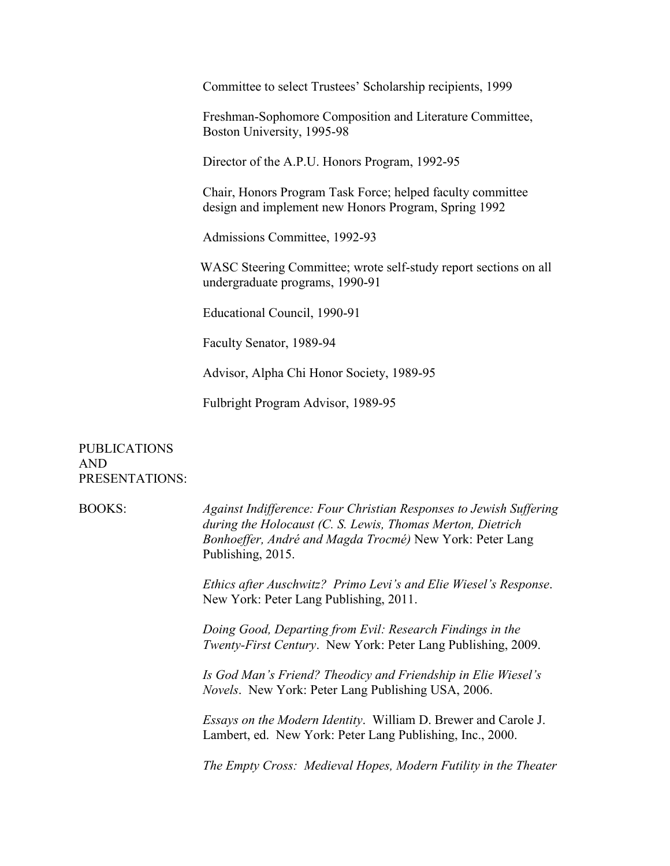Committee to select Trustees' Scholarship recipients, 1999

Freshman-Sophomore Composition and Literature Committee, Boston University, 1995-98

Director of the A.P.U. Honors Program, 1992-95

Chair, Honors Program Task Force; helped faculty committee design and implement new Honors Program, Spring 1992

Admissions Committee, 1992-93

WASC Steering Committee; wrote self-study report sections on all undergraduate programs, 1990-91

Educational Council, 1990-91

Faculty Senator, 1989-94

Advisor, Alpha Chi Honor Society, 1989-95

Fulbright Program Advisor, 1989-95

PUBLICATIONS AND PRESENTATIONS:

BOOKS: *Against Indifference: Four Christian Responses to Jewish Suffering during the Holocaust (C. S. Lewis, Thomas Merton, Dietrich Bonhoeffer, André and Magda Trocmé)* New York: Peter Lang Publishing, 2015.

> *Ethics after Auschwitz? Primo Levi's and Elie Wiesel's Response*. New York: Peter Lang Publishing, 2011.

*Doing Good, Departing from Evil: Research Findings in the Twenty-First Century*. New York: Peter Lang Publishing, 2009.

*Is God Man's Friend? Theodicy and Friendship in Elie Wiesel's Novels*. New York: Peter Lang Publishing USA, 2006.

*Essays on the Modern Identity*. William D. Brewer and Carole J. Lambert, ed. New York: Peter Lang Publishing, Inc., 2000.

*The Empty Cross: Medieval Hopes, Modern Futility in the Theater*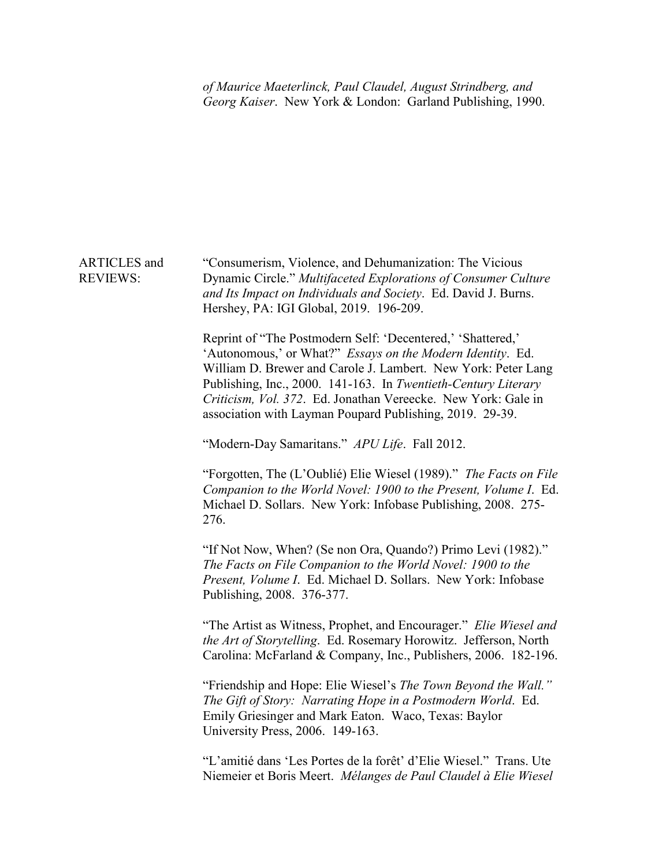*of Maurice Maeterlinck, Paul Claudel, August Strindberg, and Georg Kaiser*. New York & London: Garland Publishing, 1990.

## ARTICLES and REVIEWS: "Consumerism, Violence, and Dehumanization: The Vicious Dynamic Circle." *Multifaceted Explorations of Consumer Culture and Its Impact on Individuals and Society*. Ed. David J. Burns. Hershey, PA: IGI Global, 2019. 196-209.

Reprint of "The Postmodern Self: 'Decentered,' 'Shattered,' 'Autonomous,' or What?" *Essays on the Modern Identity*. Ed. William D. Brewer and Carole J. Lambert. New York: Peter Lang Publishing, Inc., 2000. 141-163. In *Twentieth-Century Literary Criticism, Vol. 372*. Ed. Jonathan Vereecke. New York: Gale in association with Layman Poupard Publishing, 2019. 29-39.

"Modern-Day Samaritans." *APU Life*. Fall 2012.

"Forgotten, The (L'Oublié) Elie Wiesel (1989)." *The Facts on File Companion to the World Novel: 1900 to the Present, Volume I*. Ed. Michael D. Sollars. New York: Infobase Publishing, 2008. 275- 276.

"If Not Now, When? (Se non Ora, Quando?) Primo Levi (1982)." *The Facts on File Companion to the World Novel: 1900 to the Present, Volume I*. Ed. Michael D. Sollars. New York: Infobase Publishing, 2008. 376-377.

"The Artist as Witness, Prophet, and Encourager." *Elie Wiesel and the Art of Storytelling*. Ed. Rosemary Horowitz. Jefferson, North Carolina: McFarland & Company, Inc., Publishers, 2006. 182-196.

"Friendship and Hope: Elie Wiesel's *The Town Beyond the Wall." The Gift of Story: Narrating Hope in a Postmodern World*. Ed. Emily Griesinger and Mark Eaton. Waco, Texas: Baylor University Press, 2006. 149-163.

"L'amitié dans 'Les Portes de la forêt' d'Elie Wiesel." Trans. Ute Niemeier et Boris Meert. *Mélanges de Paul Claudel à Elie Wiesel*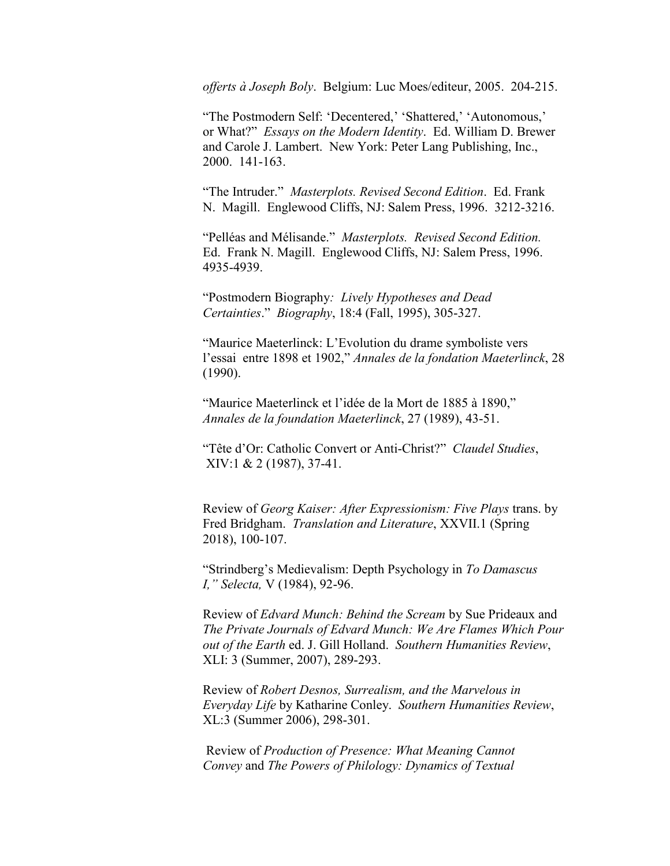*offerts à Joseph Boly*. Belgium: Luc Moes/editeur, 2005. 204-215.

"The Postmodern Self: 'Decentered,' 'Shattered,' 'Autonomous,' or What?" *Essays on the Modern Identity*. Ed. William D. Brewer and Carole J. Lambert. New York: Peter Lang Publishing, Inc., 2000. 141-163.

"The Intruder." *Masterplots. Revised Second Edition*. Ed. Frank N. Magill. Englewood Cliffs, NJ: Salem Press, 1996. 3212-3216.

"Pelléas and Mélisande." *Masterplots. Revised Second Edition.* Ed. Frank N. Magill. Englewood Cliffs, NJ: Salem Press, 1996. 4935-4939.

"Postmodern Biography*: Lively Hypotheses and Dead Certainties*." *Biography*, 18:4 (Fall, 1995), 305-327.

"Maurice Maeterlinck: L'Evolution du drame symboliste vers l'essai entre 1898 et 1902," *Annales de la fondation Maeterlinck*, 28 (1990).

"Maurice Maeterlinck et l'idée de la Mort de 1885 à 1890," *Annales de la foundation Maeterlinck*, 27 (1989), 43-51.

"Tête d'Or: Catholic Convert or Anti-Christ?" *Claudel Studies*, XIV:1 & 2 (1987), 37-41.

Review of *Georg Kaiser: After Expressionism: Five Plays* trans. by Fred Bridgham. *Translation and Literature*, XXVII.1 (Spring 2018), 100-107.

"Strindberg's Medievalism: Depth Psychology in *To Damascus I," Selecta,* V (1984), 92-96.

Review of *Edvard Munch: Behind the Scream* by Sue Prideaux and *The Private Journals of Edvard Munch: We Are Flames Which Pour out of the Earth* ed. J. Gill Holland. *Southern Humanities Review*, XLI: 3 (Summer, 2007), 289-293.

Review of *Robert Desnos, Surrealism, and the Marvelous in Everyday Life* by Katharine Conley. *Southern Humanities Review*, XL:3 (Summer 2006), 298-301.

Review of *Production of Presence: What Meaning Cannot Convey* and *The Powers of Philology: Dynamics of Textual*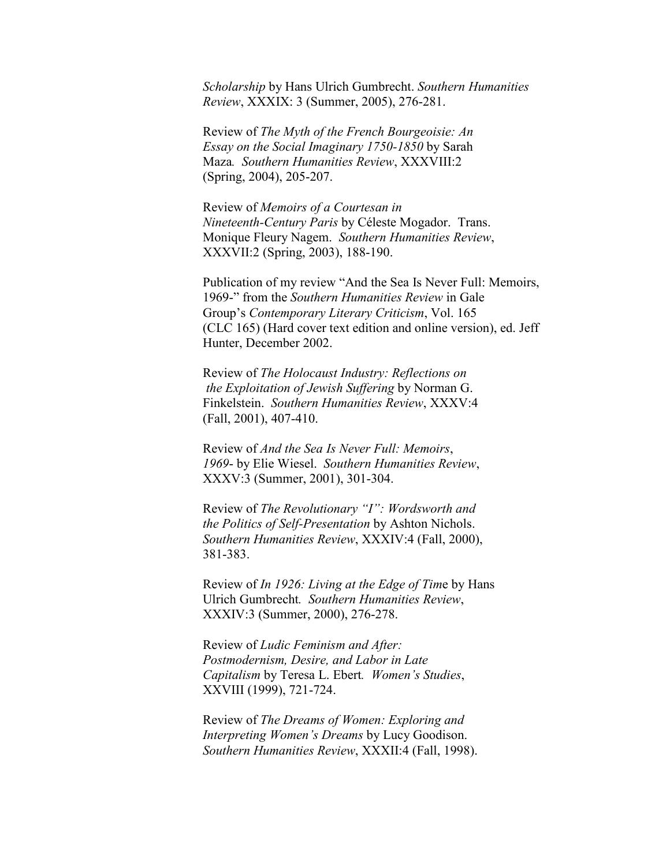*Scholarship* by Hans Ulrich Gumbrecht. *Southern Humanities Review*, XXXIX: 3 (Summer, 2005), 276-281.

Review of *The Myth of the French Bourgeoisie: An Essay on the Social Imaginary 1750-1850* by Sarah Maza*. Southern Humanities Review*, XXXVIII:2 (Spring, 2004), 205-207.

Review of *Memoirs of a Courtesan in Nineteenth-Century Paris* by Céleste Mogador. Trans. Monique Fleury Nagem. *Southern Humanities Review*, XXXVII:2 (Spring, 2003), 188-190.

Publication of my review "And the Sea Is Never Full: Memoirs, 1969-" from the *Southern Humanities Review* in Gale Group's *Contemporary Literary Criticism*, Vol. 165 (CLC 165) (Hard cover text edition and online version), ed. Jeff Hunter, December 2002.

Review of *The Holocaust Industry: Reflections on the Exploitation of Jewish Suffering* by Norman G. Finkelstein. *Southern Humanities Review*, XXXV:4 (Fall, 2001), 407-410.

Review of *And the Sea Is Never Full: Memoirs*, *1969*- by Elie Wiesel. *Southern Humanities Review*, XXXV:3 (Summer, 2001), 301-304.

Review of *The Revolutionary "I": Wordsworth and the Politics of Self-Presentation* by Ashton Nichols. *Southern Humanities Review*, XXXIV:4 (Fall, 2000), 381-383.

Review of *In 1926: Living at the Edge of Tim*e by Hans Ulrich Gumbrecht*. Southern Humanities Review*, XXXIV:3 (Summer, 2000), 276-278.

Review of *Ludic Feminism and After: Postmodernism, Desire, and Labor in Late Capitalism* by Teresa L. Ebert*. Women's Studies*, XXVIII (1999), 721-724.

Review of *The Dreams of Women: Exploring and Interpreting Women's Dreams* by Lucy Goodison. *Southern Humanities Review*, XXXII:4 (Fall, 1998).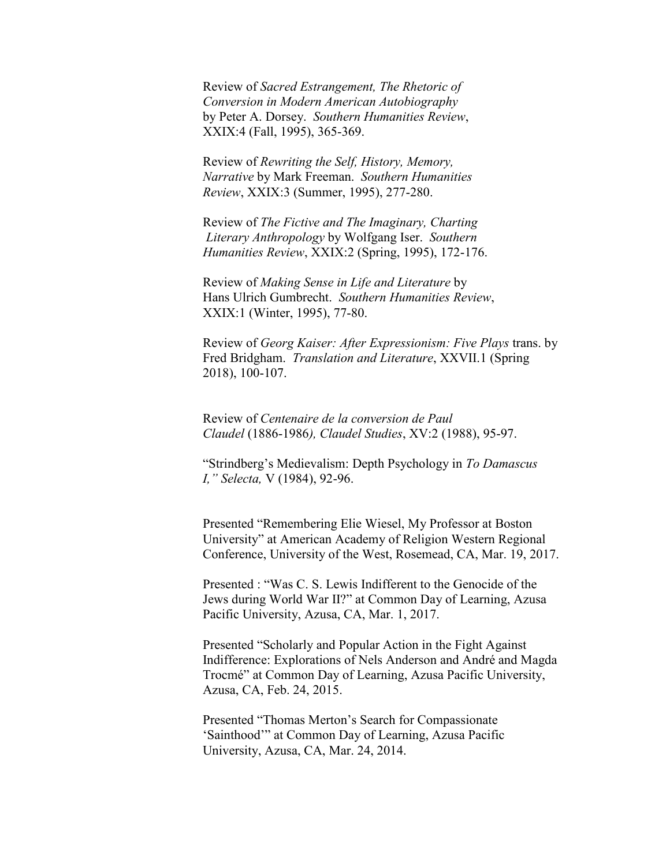Review of *Sacred Estrangement, The Rhetoric of Conversion in Modern American Autobiography* by Peter A. Dorsey. *Southern Humanities Review*, XXIX:4 (Fall, 1995), 365-369.

Review of *Rewriting the Self, History, Memory, Narrative* by Mark Freeman. *Southern Humanities Review*, XXIX:3 (Summer, 1995), 277-280.

Review of *The Fictive and The Imaginary, Charting Literary Anthropology* by Wolfgang Iser. *Southern Humanities Review*, XXIX:2 (Spring, 1995), 172-176.

Review of *Making Sense in Life and Literature* by Hans Ulrich Gumbrecht. *Southern Humanities Review*, XXIX:1 (Winter, 1995), 77-80.

Review of *Georg Kaiser: After Expressionism: Five Plays* trans. by Fred Bridgham. *Translation and Literature*, XXVII.1 (Spring 2018), 100-107.

Review of *Centenaire de la conversion de Paul Claudel* (1886-1986*), Claudel Studies*, XV:2 (1988), 95-97.

"Strindberg's Medievalism: Depth Psychology in *To Damascus I," Selecta,* V (1984), 92-96.

Presented "Remembering Elie Wiesel, My Professor at Boston University" at American Academy of Religion Western Regional Conference, University of the West, Rosemead, CA, Mar. 19, 2017.

Presented : "Was C. S. Lewis Indifferent to the Genocide of the Jews during World War II?" at Common Day of Learning, Azusa Pacific University, Azusa, CA, Mar. 1, 2017.

Presented "Scholarly and Popular Action in the Fight Against Indifference: Explorations of Nels Anderson and André and Magda Trocmé" at Common Day of Learning, Azusa Pacific University, Azusa, CA, Feb. 24, 2015.

Presented "Thomas Merton's Search for Compassionate 'Sainthood'" at Common Day of Learning, Azusa Pacific University, Azusa, CA, Mar. 24, 2014.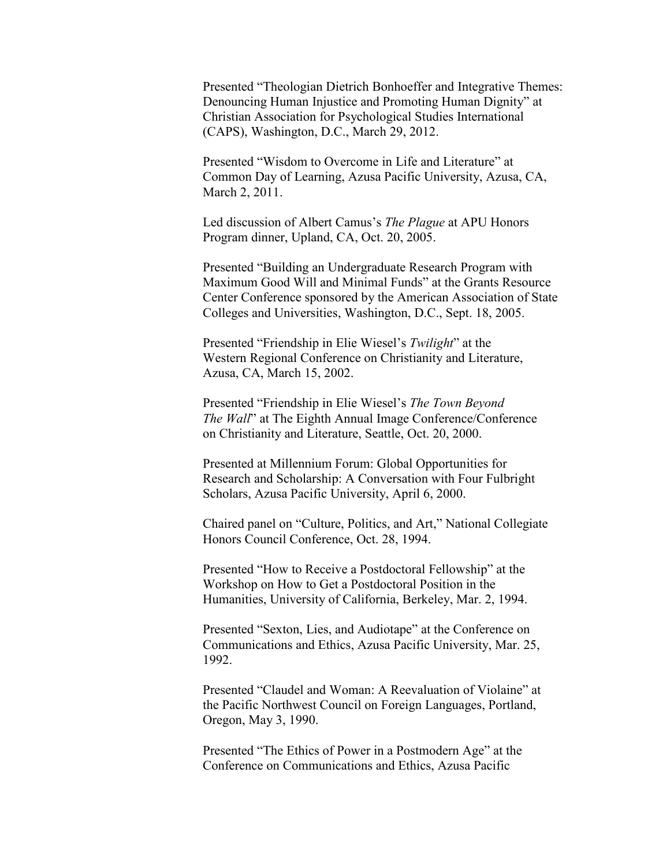Presented "Theologian Dietrich Bonhoeffer and Integrative Themes: Denouncing Human Injustice and Promoting Human Dignity" at Christian Association for Psychological Studies International (CAPS), Washington, D.C., March 29, 2012.

Presented "Wisdom to Overcome in Life and Literature" at Common Day of Learning, Azusa Pacific University, Azusa, CA, March 2, 2011.

Led discussion of Albert Camus's *The Plague* at APU Honors Program dinner, Upland, CA, Oct. 20, 2005.

Presented "Building an Undergraduate Research Program with Maximum Good Will and Minimal Funds" at the Grants Resource Center Conference sponsored by the American Association of State Colleges and Universities, Washington, D.C., Sept. 18, 2005.

Presented "Friendship in Elie Wiesel's *Twilight*" at the Western Regional Conference on Christianity and Literature, Azusa, CA, March 15, 2002.

Presented "Friendship in Elie Wiesel's *The Town Beyond The Wall*" at The Eighth Annual Image Conference/Conference on Christianity and Literature, Seattle, Oct. 20, 2000.

Presented at Millennium Forum: Global Opportunities for Research and Scholarship: A Conversation with Four Fulbright Scholars, Azusa Pacific University, April 6, 2000.

Chaired panel on "Culture, Politics, and Art," National Collegiate Honors Council Conference, Oct. 28, 1994.

Presented "How to Receive a Postdoctoral Fellowship" at the Workshop on How to Get a Postdoctoral Position in the Humanities, University of California, Berkeley, Mar. 2, 1994.

Presented "Sexton, Lies, and Audiotape" at the Conference on Communications and Ethics, Azusa Pacific University, Mar. 25, 1992.

Presented "Claudel and Woman: A Reevaluation of Violaine" at the Pacific Northwest Council on Foreign Languages, Portland, Oregon, May 3, 1990.

Presented "The Ethics of Power in a Postmodern Age" at the Conference on Communications and Ethics, Azusa Pacific